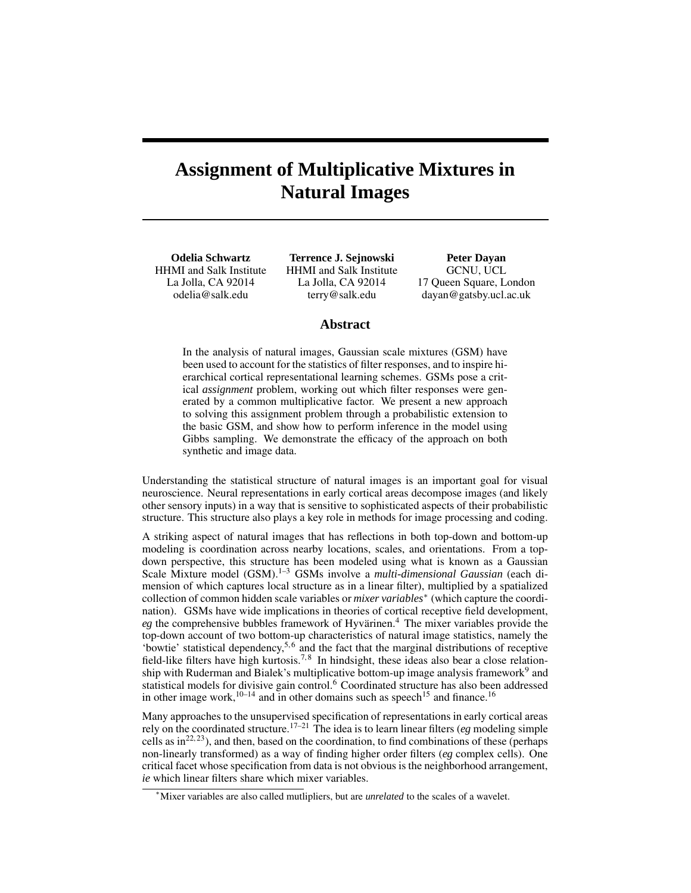# **Assignment of Multiplicative Mixtures in Natural Images**

**Odelia Schwartz** HHMI and Salk Institute La Jolla, CA 92014 odelia@salk.edu

**Terrence J. Sejnowski** HHMI and Salk Institute La Jolla, CA 92014 terry@salk.edu

**Peter Dayan** GCNU, UCL 17 Queen Square, London dayan@gatsby.ucl.ac.uk

#### **Abstract**

In the analysis of natural images, Gaussian scale mixtures (GSM) have been used to account for the statistics of filter responses, and to inspire hierarchical cortical representational learning schemes. GSMs pose a critical *assignment* problem, working out which filter responses were generated by a common multiplicative factor. We present a new approach to solving this assignment problem through a probabilistic extension to the basic GSM, and show how to perform inference in the model using Gibbs sampling. We demonstrate the efficacy of the approach on both synthetic and image data.

Understanding the statistical structure of natural images is an important goal for visual neuroscience. Neural representations in early cortical areas decompose images (and likely other sensory inputs) in a way that is sensitive to sophisticated aspects of their probabilistic structure. This structure also plays a key role in methods for image processing and coding.

A striking aspect of natural images that has reflections in both top-down and bottom-up modeling is coordination across nearby locations, scales, and orientations. From a topdown perspective, this structure has been modeled using what is known as a Gaussian Scale Mixture model (GSM).<sup>1–3</sup> GSMs involve a *multi-dimensional Gaussian* (each dimension of which captures local structure as in a linear filter), multiplied by a spatialized collection of common hidden scale variables or *mixer variables*<sup>∗</sup> (which capture the coordination). GSMs have wide implications in theories of cortical receptive field development,  $eg$  the comprehensive bubbles framework of Hyvärinen.<sup>4</sup> The mixer variables provide the top-down account of two bottom-up characteristics of natural image statistics, namely the 'bowtie' statistical dependency,  $5, 6$  and the fact that the marginal distributions of receptive field-like filters have high kurtosis.<sup>7,8</sup> In hindsight, these ideas also bear a close relationship with Ruderman and Bialek's multiplicative bottom-up image analysis framework<sup>9</sup> and statistical models for divisive gain control.<sup>6</sup> Coordinated structure has also been addressed in other image work,  $10-14$  and in other domains such as speech<sup>15</sup> and finance.<sup>16</sup>

Many approaches to the unsupervised specification of representations in early cortical areas rely on the coordinated structure.<sup>17–21</sup> The idea is to learn linear filters (*eg* modeling simple cells as  $in^{22, 23}$ ), and then, based on the coordination, to find combinations of these (perhaps non-linearly transformed) as a way of finding higher order filters (*eg* complex cells). One critical facet whose specification from data is not obvious is the neighborhood arrangement, *ie* which linear filters share which mixer variables.

<sup>∗</sup>Mixer variables are also called mutlipliers, but are *unrelated* to the scales of a wavelet.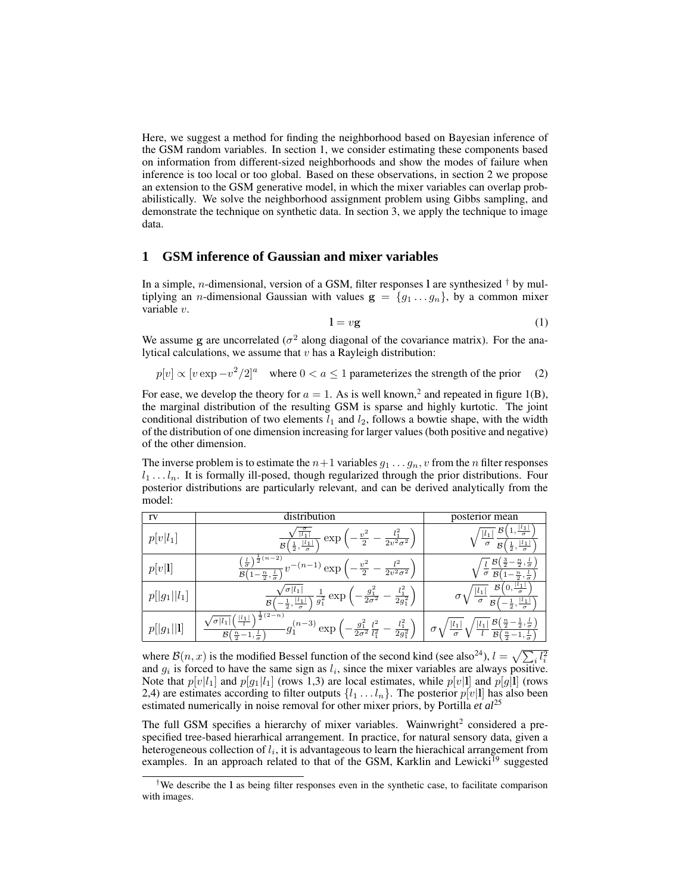Here, we suggest a method for finding the neighborhood based on Bayesian inference of the GSM random variables. In section 1, we consider estimating these components based on information from different-sized neighborhoods and show the modes of failure when inference is too local or too global. Based on these observations, in section 2 we propose an extension to the GSM generative model, in which the mixer variables can overlap probabilistically. We solve the neighborhood assignment problem using Gibbs sampling, and demonstrate the technique on synthetic data. In section 3, we apply the technique to image data.

# **1 GSM inference of Gaussian and mixer variables**

In a simple, *n*-dimensional, version of a GSM, filter responses 1 are synthesized  $\dagger$  by multiplying an *n*-dimensional Gaussian with values  $g = \{g_1 \dots g_n\}$ , by a common mixer variable v.

$$
l = vg \tag{1}
$$

We assume g are uncorrelated ( $\sigma^2$  along diagonal of the covariance matrix). For the analytical calculations, we assume that  $v$  has a Rayleigh distribution:

 $p[v] \propto [v \exp -v^2/2]^a$  where  $0 < a \le 1$  parameterizes the strength of the prior (2)

For ease, we develop the theory for  $a = 1$ . As is well known,<sup>2</sup> and repeated in figure 1(B), the marginal distribution of the resulting GSM is sparse and highly kurtotic. The joint conditional distribution of two elements  $l_1$  and  $l_2$ , follows a bowtie shape, with the width of the distribution of one dimension increasing for larger values (both positive and negative) of the other dimension.

The inverse problem is to estimate the  $n+1$  variables  $g_1 \ldots g_n$ , v from the n filter responses  $l_1 \ldots l_n$ . It is formally ill-posed, though regularized through the prior distributions. Four posterior distributions are particularly relevant, and can be derived analytically from the model:

| rv             | distribution                                                                                                                                                                                                                 | posterior mean                                                                                                                                          |
|----------------|------------------------------------------------------------------------------------------------------------------------------------------------------------------------------------------------------------------------------|---------------------------------------------------------------------------------------------------------------------------------------------------------|
| $p[v l_1]$     | $l_1$<br>exp<br>$2v^2\sigma^2$<br>$\overline{2}$<br>$\frac{ l_1 }{\sigma}$<br>$\mathcal B$<br>$rac{1}{2}$ ,                                                                                                                  | ß<br>$l_1$<br>$\sigma$<br>$\sigma$<br>B<br>$\frac{1}{2}$<br>$\sigma$                                                                                    |
| p[v 1]         | $\sqrt{\frac{1}{2}(n-2)}$<br>$\frac{l}{\sigma}$<br>$(n-1)$<br>ex <sub>k</sub><br>$2v^2\sigma^2$<br>$\overline{2}$<br>$\mathcal{B}$<br>$\frac{n}{2}, \frac{l}{\sigma}$                                                        | $\frac{n}{2}, \frac{l}{\sigma}$<br>$\sigma$<br>$\mathcal{B}$<br>$\frac{n}{2}$ ,<br>$\sigma$                                                             |
| $p[ g_1  l_1]$ | $l_1^2$<br>$-\frac{g_1^2}{2\sigma^2}$<br>$\sigma$   $l_1$  <br>$\frac{1}{g_1^2}$<br>exp<br>$2g_1^2$<br>$\frac{ l_1 }{\sigma}$<br>$\mathcal{B}$<br>$\frac{1}{2}$ ,                                                            | $\mathcal{B}$<br>U.<br>$\sigma$<br>$ l_1 $<br>$\sigma$<br>B<br>$\frac{1}{2}$<br>$\sigma$                                                                |
| $p[ g_1    1]$ | $\sqrt{\frac{1}{2}(2-n)}$<br>$ l_1 $<br>$\sigma$ $l_1$<br>$l_1^2$<br>$\frac{g_1^2}{2\sigma^2}\frac{l^2}{l_1^2}$<br>$(n-3)$<br>exp<br>$g_{\hat{1}}$<br>$2g_1^2$<br>$\mathcal B$<br>$rac{n}{2}$ –<br>$1, \frac{\iota}{\sigma}$ | $\mathcal{B}^{\prime}$<br>$\frac{n}{2}$<br>$\frac{1}{2}, \frac{\iota}{\sigma}$<br>$\iota_1$<br>$\sigma_1$<br>$\sigma$<br>$\mathcal{B}$<br>$\frac{n}{2}$ |

where  $\mathcal{B}(n, x)$  is the modified Bessel function of the second kind (see also<sup>24</sup>),  $l = \sqrt{\sum_i l_i^2}$ and  $g_i$  is forced to have the same sign as  $l_i$ , since the mixer variables are always positive. Note that  $p[v|l_1]$  and  $p[g_1|l_1]$  (rows 1,3) are local estimates, while  $p[v]$  and  $p[g]$  (rows 2,4) are estimates according to filter outputs  $\{l_1 \ldots l_n\}$ . The posterior  $p[v|1]$  has also been estimated numerically in noise removal for other mixer priors, by Portilla *et al*<sup>25</sup>

The full GSM specifies a hierarchy of mixer variables. Wainwright<sup>2</sup> considered a prespecified tree-based hierarhical arrangement. In practice, for natural sensory data, given a heterogeneous collection of  $l_i$ , it is advantageous to learn the hierachical arrangement from examples. In an approach related to that of the GSM, Karklin and Lewicki<sup>19</sup> suggested

<sup>&</sup>lt;sup>†</sup>We describe the l as being filter responses even in the synthetic case, to facilitate comparison with images.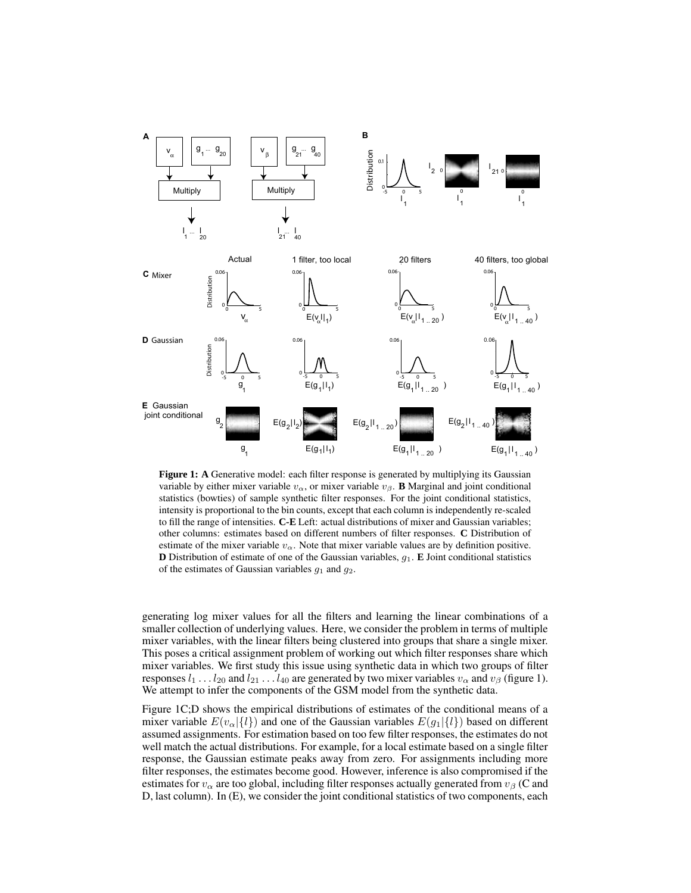

**Figure 1:** A Generative model: each filter response is generated by multiplying its Gaussian variable by either mixer variable  $v_{\alpha}$ , or mixer variable  $v_{\beta}$ . **B** Marginal and joint conditional statistics (bowties) of sample synthetic filter responses. For the joint conditional statistics, intensity is proportional to the bin counts, except that each column is independently re-scaled to fill the range of intensities. **C-E** Left: actual distributions of mixer and Gaussian variables; other columns: estimates based on different numbers of filter responses. **C** Distribution of estimate of the mixer variable  $v_{\alpha}$ . Note that mixer variable values are by definition positive. **D** Distribution of estimate of one of the Gaussian variables,  $g_1$ . **E** Joint conditional statistics of the estimates of Gaussian variables  $g_1$  and  $g_2$ .

generating log mixer values for all the filters and learning the linear combinations of a smaller collection of underlying values. Here, we consider the problem in terms of multiple mixer variables, with the linear filters being clustered into groups that share a single mixer. This poses a critical assignment problem of working out which filter responses share which mixer variables. We first study this issue using synthetic data in which two groups of filter responses  $l_1 \ldots l_{20}$  and  $l_{21} \ldots l_{40}$  are generated by two mixer variables  $v_\alpha$  and  $v_\beta$  (figure 1). We attempt to infer the components of the GSM model from the synthetic data.

Figure 1C;D shows the empirical distributions of estimates of the conditional means of a mixer variable  $E(v_{\alpha})\{l\}$  and one of the Gaussian variables  $E(g_1|\{l\})$  based on different assumed assignments. For estimation based on too few filter responses, the estimates do not well match the actual distributions. For example, for a local estimate based on a single filter response, the Gaussian estimate peaks away from zero. For assignments including more filter responses, the estimates become good. However, inference is also compromised if the estimates for  $v_{\alpha}$  are too global, including filter responses actually generated from  $v_{\beta}$  (C and D, last column). In (E), we consider the joint conditional statistics of two components, each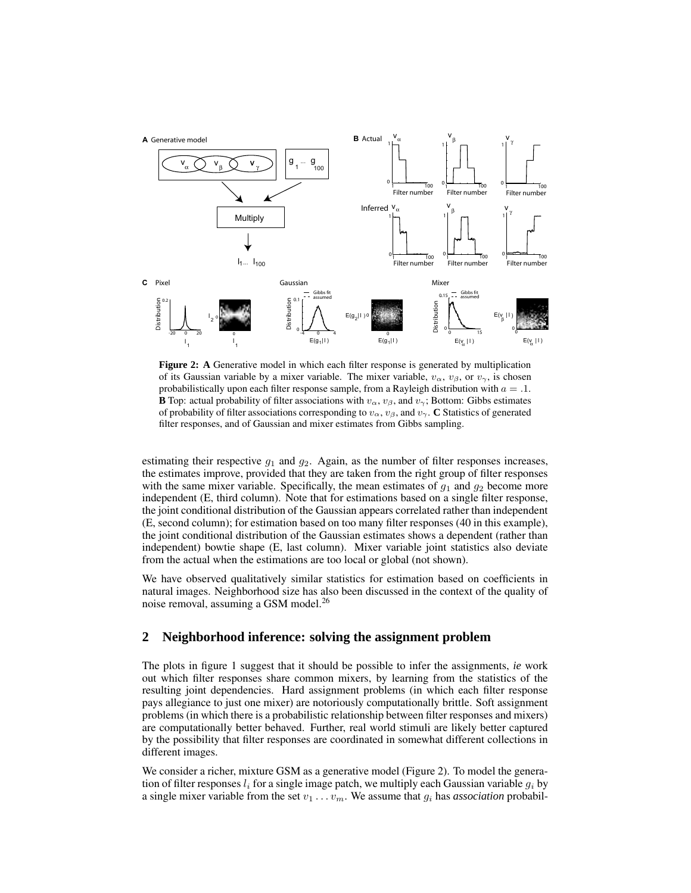

**Figure 2: A** Generative model in which each filter response is generated by multiplication of its Gaussian variable by a mixer variable. The mixer variable,  $v_{\alpha}$ ,  $v_{\beta}$ , or  $v_{\gamma}$ , is chosen probabilistically upon each filter response sample, from a Rayleigh distribution with  $a = 0.1$ . **B** Top: actual probability of filter associations with  $v_{\alpha}$ ,  $v_{\beta}$ , and  $v_{\gamma}$ ; Bottom: Gibbs estimates of probability of filter associations corresponding to  $v_{\alpha}$ ,  $v_{\beta}$ , and  $v_{\gamma}$ . **C** Statistics of generated filter responses, and of Gaussian and mixer estimates from Gibbs sampling.

estimating their respective  $g_1$  and  $g_2$ . Again, as the number of filter responses increases, the estimates improve, provided that they are taken from the right group of filter responses with the same mixer variable. Specifically, the mean estimates of  $g_1$  and  $g_2$  become more independent (E, third column). Note that for estimations based on a single filter response, the joint conditional distribution of the Gaussian appears correlated rather than independent (E, second column); for estimation based on too many filter responses (40 in this example), the joint conditional distribution of the Gaussian estimates shows a dependent (rather than independent) bowtie shape (E, last column). Mixer variable joint statistics also deviate from the actual when the estimations are too local or global (not shown).

We have observed qualitatively similar statistics for estimation based on coefficients in natural images. Neighborhood size has also been discussed in the context of the quality of noise removal, assuming a GSM model.<sup>26</sup>

# **2 Neighborhood inference: solving the assignment problem**

The plots in figure 1 suggest that it should be possible to infer the assignments, *ie* work out which filter responses share common mixers, by learning from the statistics of the resulting joint dependencies. Hard assignment problems (in which each filter response pays allegiance to just one mixer) are notoriously computationally brittle. Soft assignment problems (in which there is a probabilistic relationship between filter responses and mixers) are computationally better behaved. Further, real world stimuli are likely better captured by the possibility that filter responses are coordinated in somewhat different collections in different images.

We consider a richer, mixture GSM as a generative model (Figure 2). To model the generation of filter responses  $l_i$  for a single image patch, we multiply each Gaussian variable  $g_i$  by a single mixer variable from the set  $v_1 \ldots v_m$ . We assume that  $g_i$  has *association* probabil-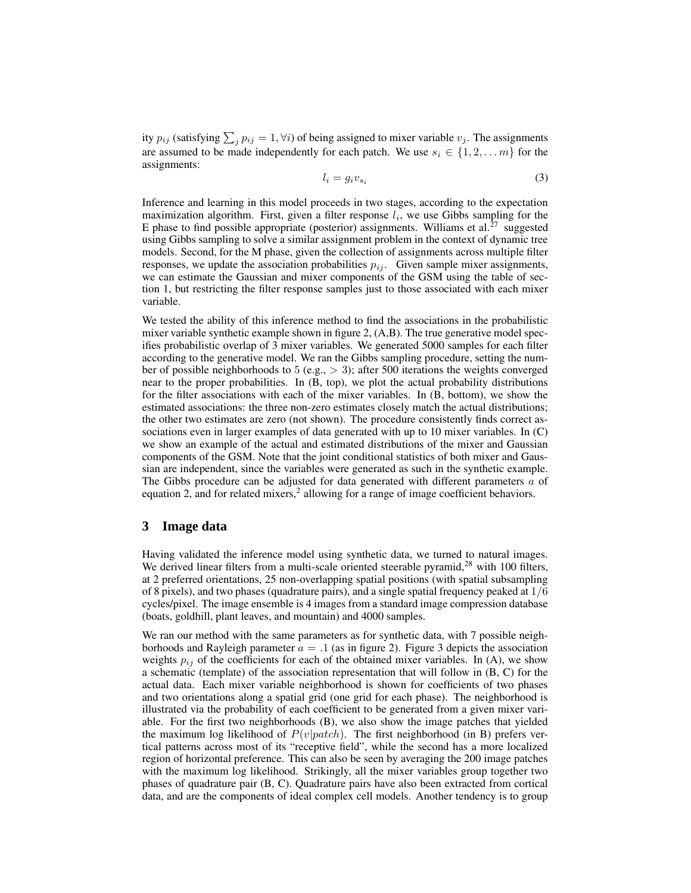ity  $p_{ij}$  (satisfying  $\sum_j p_{ij} = 1, \forall i$ ) of being assigned to mixer variable  $v_j$ . The assignments are assumed to be made independently for each patch. We use  $s_i \in \{1, 2, \ldots m\}$  for the assignments:

$$
l_i = g_i v_{s_i} \tag{3}
$$

Inference and learning in this model proceeds in two stages, according to the expectation maximization algorithm. First, given a filter response  $l_i$ , we use Gibbs sampling for the E phase to find possible appropriate (posterior) assignments. Williams et al.<sup>27</sup> suggested using Gibbs sampling to solve a similar assignment problem in the context of dynamic tree models. Second, for the M phase, given the collection of assignments across multiple filter responses, we update the association probabilities  $p_{ij}$ . Given sample mixer assignments, we can estimate the Gaussian and mixer components of the GSM using the table of section 1, but restricting the filter response samples just to those associated with each mixer variable.

We tested the ability of this inference method to find the associations in the probabilistic mixer variable synthetic example shown in figure 2, (A,B). The true generative model specifies probabilistic overlap of 3 mixer variables. We generated 5000 samples for each filter according to the generative model. We ran the Gibbs sampling procedure, setting the number of possible neighborhoods to 5 (e.g., > 3); after 500 iterations the weights converged near to the proper probabilities. In (B, top), we plot the actual probability distributions for the filter associations with each of the mixer variables. In (B, bottom), we show the estimated associations: the three non-zero estimates closely match the actual distributions; the other two estimates are zero (not shown). The procedure consistently finds correct associations even in larger examples of data generated with up to 10 mixer variables. In (C) we show an example of the actual and estimated distributions of the mixer and Gaussian components of the GSM. Note that the joint conditional statistics of both mixer and Gaussian are independent, since the variables were generated as such in the synthetic example. The Gibbs procedure can be adjusted for data generated with different parameters a of equation 2, and for related mixers,<sup>2</sup> allowing for a range of image coefficient behaviors.

### **3 Image data**

Having validated the inference model using synthetic data, we turned to natural images. We derived linear filters from a multi-scale oriented steerable pyramid,<sup>28</sup> with 100 filters, at 2 preferred orientations, 25 non-overlapping spatial positions (with spatial subsampling of 8 pixels), and two phases (quadrature pairs), and a single spatial frequency peaked at  $1/6$ cycles/pixel. The image ensemble is 4 images from a standard image compression database (boats, goldhill, plant leaves, and mountain) and 4000 samples.

We ran our method with the same parameters as for synthetic data, with 7 possible neighborhoods and Rayleigh parameter  $a = 0.1$  (as in figure 2). Figure 3 depicts the association weights  $p_{ij}$  of the coefficients for each of the obtained mixer variables. In (A), we show a schematic (template) of the association representation that will follow in (B, C) for the actual data. Each mixer variable neighborhood is shown for coefficients of two phases and two orientations along a spatial grid (one grid for each phase). The neighborhood is illustrated via the probability of each coefficient to be generated from a given mixer variable. For the first two neighborhoods (B), we also show the image patches that yielded the maximum log likelihood of  $P(v|patch)$ . The first neighborhood (in B) prefers vertical patterns across most of its "receptive field", while the second has a more localized region of horizontal preference. This can also be seen by averaging the 200 image patches with the maximum log likelihood. Strikingly, all the mixer variables group together two phases of quadrature pair (B, C). Quadrature pairs have also been extracted from cortical data, and are the components of ideal complex cell models. Another tendency is to group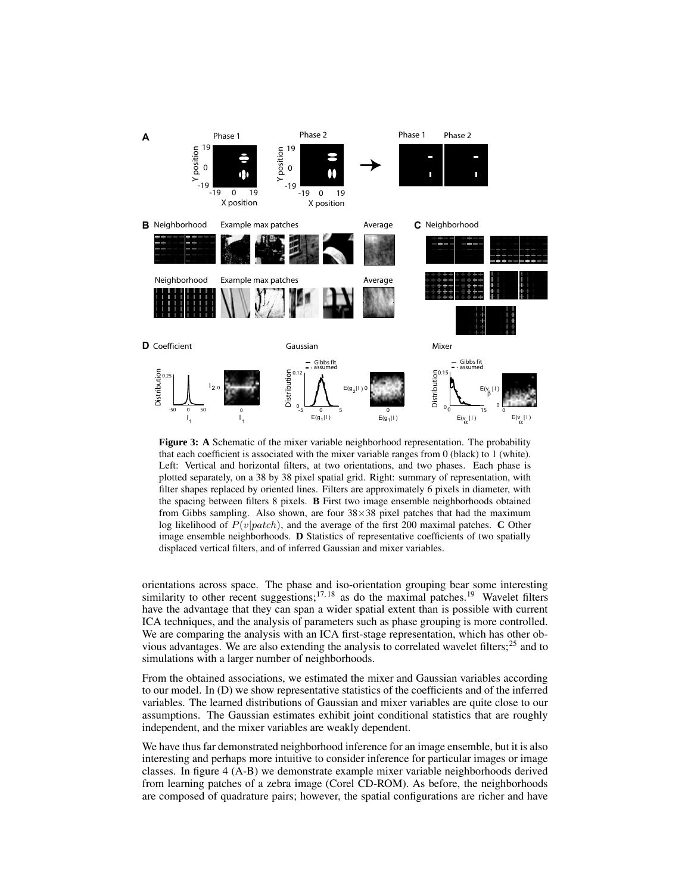

Figure 3: A Schematic of the mixer variable neighborhood representation. The probability that each coefficient is associated with the mixer variable ranges from 0 (black) to 1 (white). Left: Vertical and horizontal filters, at two orientations, and two phases. Each phase is plotted separately, on a 38 by 38 pixel spatial grid. Right: summary of representation, with filter shapes replaced by oriented lines. Filters are approximately 6 pixels in diameter, with the spacing between filters 8 pixels. **B** First two image ensemble neighborhoods obtained from Gibbs sampling. Also shown, are four  $38 \times 38$  pixel patches that had the maximum log likelihood of  $P(v|patch)$ , and the average of the first 200 maximal patches. **C** Other image ensemble neighborhoods. **D** Statistics of representative coefficients of two spatially displaced vertical filters, and of inferred Gaussian and mixer variables.

orientations across space. The phase and iso-orientation grouping bear some interesting similarity to other recent suggestions;<sup>17, 18</sup> as do the maximal patches.<sup>19</sup> Wavelet filters have the advantage that they can span a wider spatial extent than is possible with current ICA techniques, and the analysis of parameters such as phase grouping is more controlled. We are comparing the analysis with an ICA first-stage representation, which has other obvious advantages. We are also extending the analysis to correlated wavelet filters; $^{25}$  and to simulations with a larger number of neighborhoods.

From the obtained associations, we estimated the mixer and Gaussian variables according to our model. In (D) we show representative statistics of the coefficients and of the inferred variables. The learned distributions of Gaussian and mixer variables are quite close to our assumptions. The Gaussian estimates exhibit joint conditional statistics that are roughly independent, and the mixer variables are weakly dependent.

We have thus far demonstrated neighborhood inference for an image ensemble, but it is also interesting and perhaps more intuitive to consider inference for particular images or image classes. In figure 4 (A-B) we demonstrate example mixer variable neighborhoods derived from learning patches of a zebra image (Corel CD-ROM). As before, the neighborhoods are composed of quadrature pairs; however, the spatial configurations are richer and have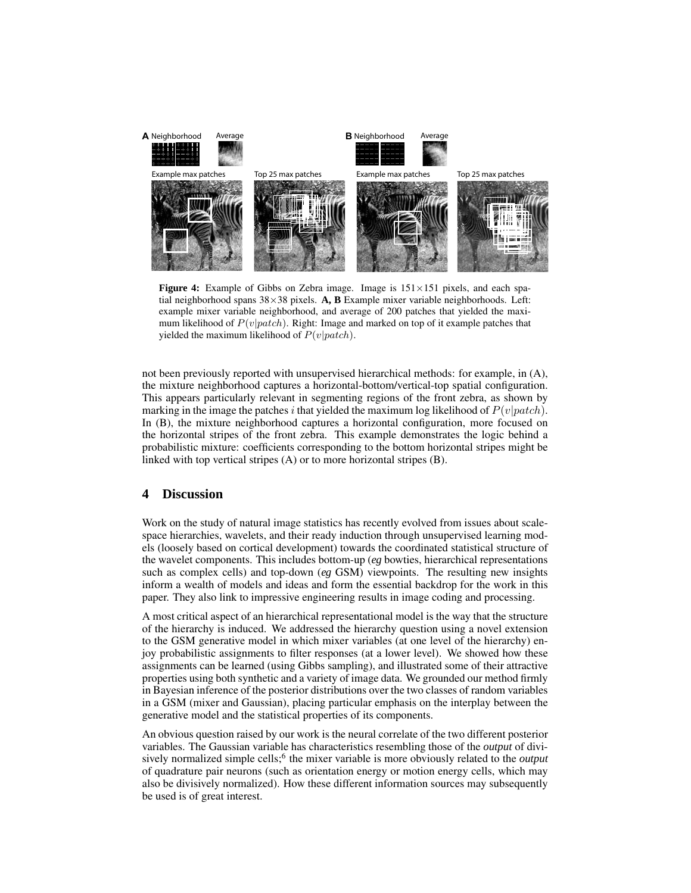

**Figure 4:** Example of Gibbs on Zebra image. Image is  $151 \times 151$  pixels, and each spatial neighborhood spans 38×38 pixels. **A, B** Example mixer variable neighborhoods. Left: example mixer variable neighborhood, and average of 200 patches that yielded the maximum likelihood of  $P(v|patch)$ . Right: Image and marked on top of it example patches that yielded the maximum likelihood of  $P(v|patch)$ .

not been previously reported with unsupervised hierarchical methods: for example, in (A), the mixture neighborhood captures a horizontal-bottom/vertical-top spatial configuration. This appears particularly relevant in segmenting regions of the front zebra, as shown by marking in the image the patches i that yielded the maximum log likelihood of  $P(v|patch)$ . In (B), the mixture neighborhood captures a horizontal configuration, more focused on the horizontal stripes of the front zebra. This example demonstrates the logic behind a probabilistic mixture: coefficients corresponding to the bottom horizontal stripes might be linked with top vertical stripes (A) or to more horizontal stripes (B).

#### **4 Discussion**

Work on the study of natural image statistics has recently evolved from issues about scalespace hierarchies, wavelets, and their ready induction through unsupervised learning models (loosely based on cortical development) towards the coordinated statistical structure of the wavelet components. This includes bottom-up (*eg* bowties, hierarchical representations such as complex cells) and top-down (*eg* GSM) viewpoints. The resulting new insights inform a wealth of models and ideas and form the essential backdrop for the work in this paper. They also link to impressive engineering results in image coding and processing.

A most critical aspect of an hierarchical representational model is the way that the structure of the hierarchy is induced. We addressed the hierarchy question using a novel extension to the GSM generative model in which mixer variables (at one level of the hierarchy) enjoy probabilistic assignments to filter responses (at a lower level). We showed how these assignments can be learned (using Gibbs sampling), and illustrated some of their attractive properties using both synthetic and a variety of image data. We grounded our method firmly in Bayesian inference of the posterior distributions over the two classes of random variables in a GSM (mixer and Gaussian), placing particular emphasis on the interplay between the generative model and the statistical properties of its components.

An obvious question raised by our work is the neural correlate of the two different posterior variables. The Gaussian variable has characteristics resembling those of the *output* of divisively normalized simple cells;<sup>6</sup> the mixer variable is more obviously related to the *output* of quadrature pair neurons (such as orientation energy or motion energy cells, which may also be divisively normalized). How these different information sources may subsequently be used is of great interest.